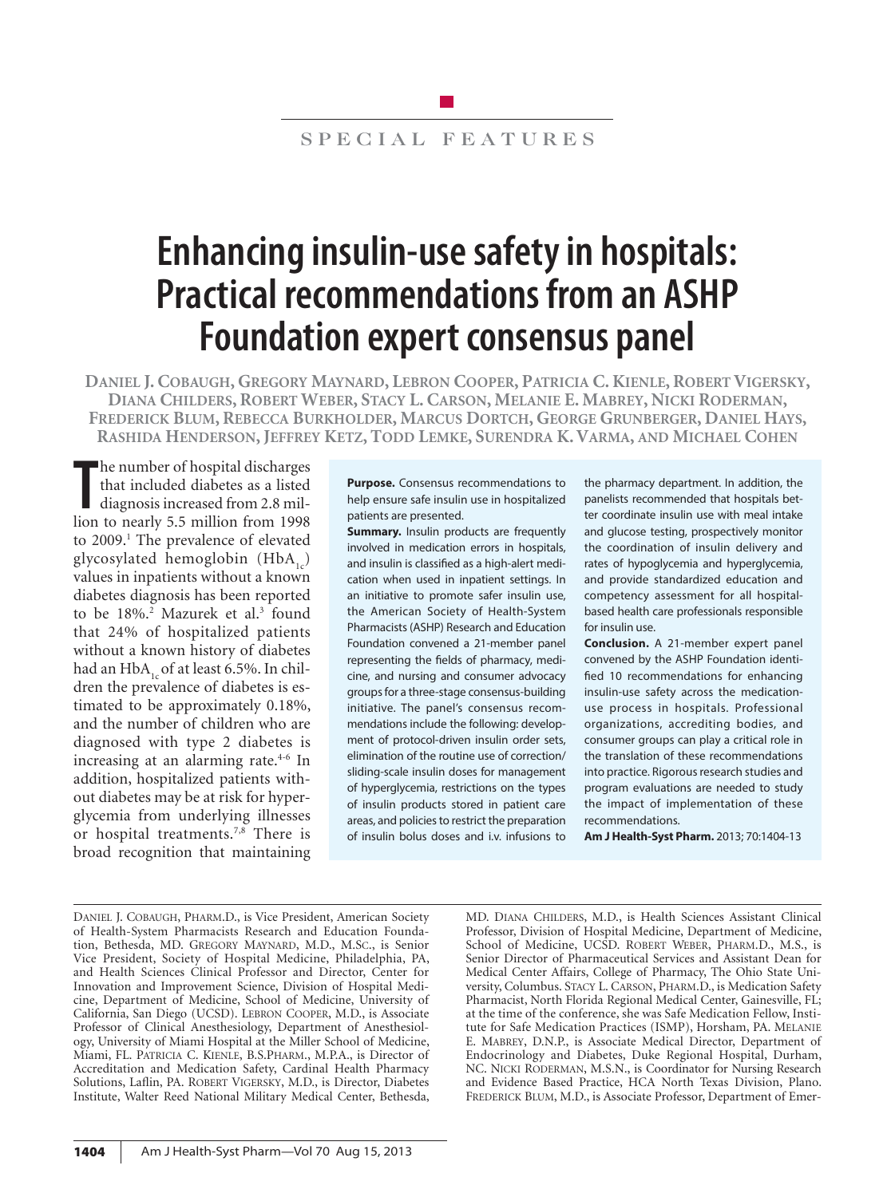special features

# **Enhancing insulin-use safety in hospitals: Practical recommendations from an ASHP Foundation expert consensus panel**

**Daniel J. Cobaugh, Gregory Maynard, Lebron Cooper, Patricia C. Kienle, Robert Vigersky, Diana Childers, Robert Weber, Stacy L. Carson, Melanie E. Mabrey, Nicki Roderman, Frederick Blum, Rebecca Burkholder, Marcus Dortch, George Grunberger, Daniel Hays, Rashida Henderson, Jeffrey Ketz, Todd Lemke, Surendra K. Varma, and Michael Cohen**

The number of hospital discharges<br>that included diabetes as a listed<br>diagnosis increased from 2.8 mil-<br>lion to nearly 5.5 million from 1998 he number of hospital discharges that included diabetes as a listed diagnosis increased from 2.8 milto 2009.<sup>1</sup> The prevalence of elevated glycosylated hemoglobin  $(HbA_{1c})$ values in inpatients without a known diabetes diagnosis has been reported to be 18%.<sup>2</sup> Mazurek et al.<sup>3</sup> found that 24% of hospitalized patients without a known history of diabetes had an  $HbA<sub>1c</sub>$  of at least 6.5%. In children the prevalence of diabetes is estimated to be approximately 0.18%, and the number of children who are diagnosed with type 2 diabetes is increasing at an alarming rate.<sup>4-6</sup> In addition, hospitalized patients without diabetes may be at risk for hyperglycemia from underlying illnesses or hospital treatments.7,8 There is broad recognition that maintaining

**Purpose.** Consensus recommendations to help ensure safe insulin use in hospitalized patients are presented.

**Summary.** Insulin products are frequently involved in medication errors in hospitals, and insulin is classified as a high-alert medication when used in inpatient settings. In an initiative to promote safer insulin use, the American Society of Health-System Pharmacists (ASHP) Research and Education Foundation convened a 21-member panel representing the fields of pharmacy, medicine, and nursing and consumer advocacy groups for a three-stage consensus-building initiative. The panel's consensus recommendations include the following: development of protocol-driven insulin order sets, elimination of the routine use of correction/ sliding-scale insulin doses for management of hyperglycemia, restrictions on the types of insulin products stored in patient care areas, and policies to restrict the preparation of insulin bolus doses and i.v. infusions to

the pharmacy department. In addition, the panelists recommended that hospitals better coordinate insulin use with meal intake and glucose testing, prospectively monitor the coordination of insulin delivery and rates of hypoglycemia and hyperglycemia, and provide standardized education and competency assessment for all hospitalbased health care professionals responsible for insulin use.

**Conclusion.** A 21-member expert panel convened by the ASHP Foundation identified 10 recommendations for enhancing insulin-use safety across the medicationuse process in hospitals. Professional organizations, accrediting bodies, and consumer groups can play a critical role in the translation of these recommendations into practice. Rigorous research studies and program evaluations are needed to study the impact of implementation of these recommendations.

**Am J Health-Syst Pharm.** 2013; 70:1404-13

MD. Diana Childers, M.D., is Health Sciences Assistant Clinical Professor, Division of Hospital Medicine, Department of Medicine, School of Medicine, UCSD. ROBERT WEBER, PHARM.D., M.S., is Senior Director of Pharmaceutical Services and Assistant Dean for Medical Center Affairs, College of Pharmacy, The Ohio State University, Columbus. Stacy L. Carson, Pharm.D., is Medication Safety Pharmacist, North Florida Regional Medical Center, Gainesville, FL; at the time of the conference, she was Safe Medication Fellow, Institute for Safe Medication Practices (ISMP), Horsham, PA. Melanie E. Mabrey, D.N.P., is Associate Medical Director, Department of Endocrinology and Diabetes, Duke Regional Hospital, Durham, NC. NICKI RODERMAN, M.S.N., is Coordinator for Nursing Research and Evidence Based Practice, HCA North Texas Division, Plano. FREDERICK BLUM, M.D., is Associate Professor, Department of Emer-

Daniel J. Cobaugh, Pharm.D., is Vice President, American Society of Health-System Pharmacists Research and Education Foundation, Bethesda, MD. Gregory Maynard, M.D., M.Sc., is Senior Vice President, Society of Hospital Medicine, Philadelphia, PA, and Health Sciences Clinical Professor and Director, Center for Innovation and Improvement Science, Division of Hospital Medicine, Department of Medicine, School of Medicine, University of California, San Diego (UCSD). Lebron Cooper, M.D., is Associate Professor of Clinical Anesthesiology, Department of Anesthesiology, University of Miami Hospital at the Miller School of Medicine, Miami, FL. Patricia C. Kienle, B.S.Pharm., M.P.A., is Director of Accreditation and Medication Safety, Cardinal Health Pharmacy Solutions, Laflin, PA. Robert Vigersky, M.D., is Director, Diabetes Institute, Walter Reed National Military Medical Center, Bethesda,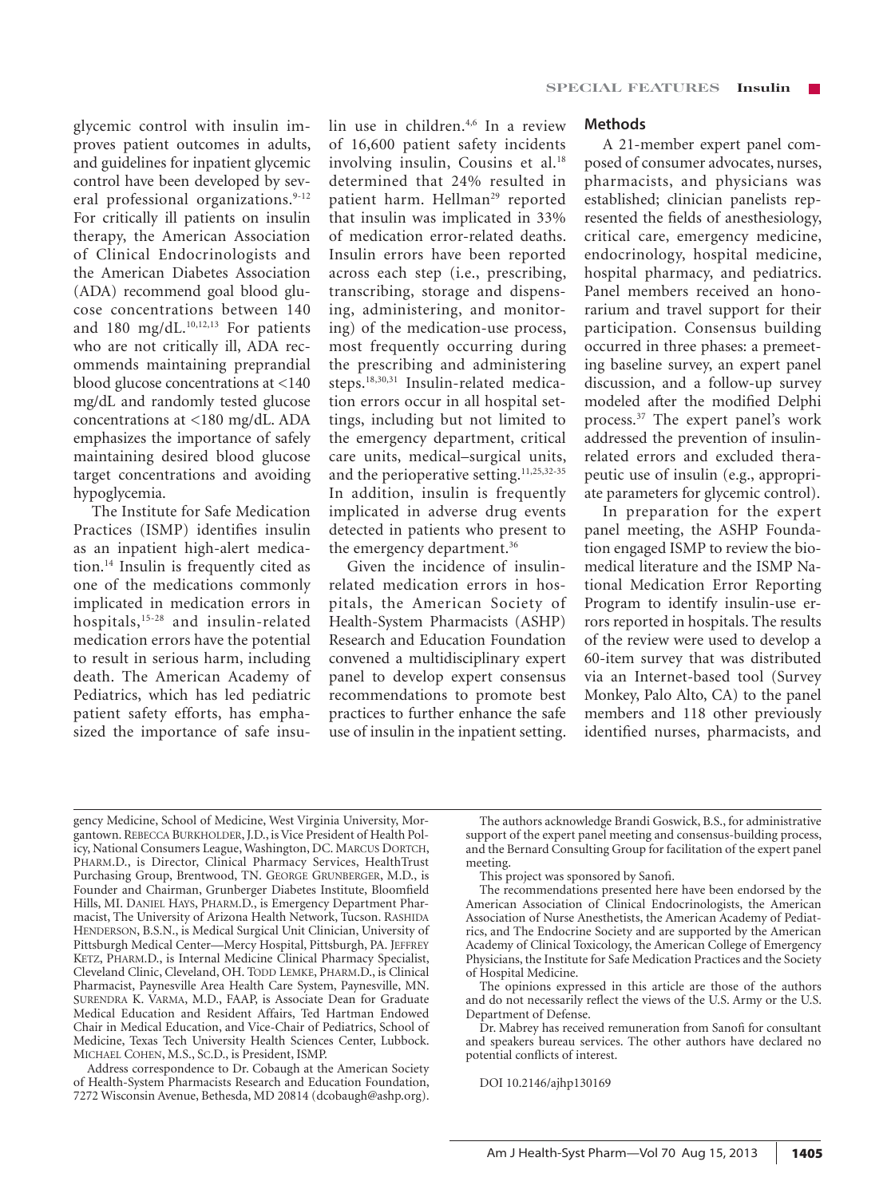glycemic control with insulin improves patient outcomes in adults, and guidelines for inpatient glycemic control have been developed by several professional organizations.<sup>9-12</sup> For critically ill patients on insulin therapy, the American Association of Clinical Endocrinologists and the American Diabetes Association (ADA) recommend goal blood glucose concentrations between 140 and 180 mg/dL.<sup>10,12,13</sup> For patients who are not critically ill, ADA recommends maintaining preprandial blood glucose concentrations at <140 mg/dL and randomly tested glucose concentrations at <180 mg/dL. ADA emphasizes the importance of safely maintaining desired blood glucose target concentrations and avoiding hypoglycemia.

The Institute for Safe Medication Practices (ISMP) identifies insulin as an inpatient high-alert medication.14 Insulin is frequently cited as one of the medications commonly implicated in medication errors in hospitals,15-28 and insulin-related medication errors have the potential to result in serious harm, including death. The American Academy of Pediatrics, which has led pediatric patient safety efforts, has emphasized the importance of safe insulin use in children.4,6 In a review of 16,600 patient safety incidents involving insulin, Cousins et al.<sup>18</sup> determined that 24% resulted in patient harm. Hellman<sup>29</sup> reported that insulin was implicated in 33% of medication error-related deaths. Insulin errors have been reported across each step (i.e., prescribing, transcribing, storage and dispensing, administering, and monitoring) of the medication-use process, most frequently occurring during the prescribing and administering steps.18,30,31 Insulin-related medication errors occur in all hospital settings, including but not limited to the emergency department, critical care units, medical–surgical units, and the perioperative setting.11,25,32-35 In addition, insulin is frequently

the emergency department.<sup>36</sup> Given the incidence of insulinrelated medication errors in hospitals, the American Society of Health-System Pharmacists (ASHP) Research and Education Foundation convened a multidisciplinary expert panel to develop expert consensus recommendations to promote best practices to further enhance the safe use of insulin in the inpatient setting.

implicated in adverse drug events detected in patients who present to

#### **Methods**

A 21-member expert panel composed of consumer advocates, nurses, pharmacists, and physicians was established; clinician panelists represented the fields of anesthesiology, critical care, emergency medicine, endocrinology, hospital medicine, hospital pharmacy, and pediatrics. Panel members received an honorarium and travel support for their participation. Consensus building occurred in three phases: a premeeting baseline survey, an expert panel discussion, and a follow-up survey modeled after the modified Delphi process.37 The expert panel's work addressed the prevention of insulinrelated errors and excluded therapeutic use of insulin (e.g., appropriate parameters for glycemic control).

In preparation for the expert panel meeting, the ASHP Foundation engaged ISMP to review the biomedical literature and the ISMP National Medication Error Reporting Program to identify insulin-use errors reported in hospitals. The results of the review were used to develop a 60-item survey that was distributed via an Internet-based tool (Survey Monkey, Palo Alto, CA) to the panel members and 118 other previously identified nurses, pharmacists, and

Address correspondence to Dr. Cobaugh at the American Society of Health-System Pharmacists Research and Education Foundation, 7272 Wisconsin Avenue, Bethesda, MD 20814 (dcobaugh@ashp.org).

The authors acknowledge Brandi Goswick, B.S., for administrative support of the expert panel meeting and consensus-building process, and the Bernard Consulting Group for facilitation of the expert panel meeting.

This project was sponsored by Sanofi.

Dr. Mabrey has received remuneration from Sanofi for consultant and speakers bureau services. The other authors have declared no potential conflicts of interest.

DOI 10.2146/ajhp130169

gency Medicine, School of Medicine, West Virginia University, Morgantown. REBECCA BURKHOLDER, J.D., is Vice President of Health Policy, National Consumers League, Washington, DC. Marcus Dortch, Pharm.D., is Director, Clinical Pharmacy Services, HealthTrust Purchasing Group, Brentwood, TN. George Grunberger, M.D., is Founder and Chairman, Grunberger Diabetes Institute, Bloomfield Hills, MI. DANIEL HAYS, PHARM.D., is Emergency Department Pharmacist, The University of Arizona Health Network, Tucson. RASHIDA HENDERSON, B.S.N., is Medical Surgical Unit Clinician, University of Pittsburgh Medical Center—Mercy Hospital, Pittsburgh, PA. JEFFREY KETZ, PHARM.D., is Internal Medicine Clinical Pharmacy Specialist, Cleveland Clinic, Cleveland, OH. TODD LEMKE, PHARM.D., is Clinical Pharmacist, Paynesville Area Health Care System, Paynesville, MN. Surendra K. Varma, M.D., FAAP, is Associate Dean for Graduate Medical Education and Resident Affairs, Ted Hartman Endowed Chair in Medical Education, and Vice-Chair of Pediatrics, School of Medicine, Texas Tech University Health Sciences Center, Lubbock. Michael Cohen, M.S., Sc.D., is President, ISMP.

The recommendations presented here have been endorsed by the American Association of Clinical Endocrinologists, the American Association of Nurse Anesthetists, the American Academy of Pediatrics, and The Endocrine Society and are supported by the American Academy of Clinical Toxicology, the American College of Emergency Physicians, the Institute for Safe Medication Practices and the Society of Hospital Medicine.

The opinions expressed in this article are those of the authors and do not necessarily reflect the views of the U.S. Army or the U.S. Department of Defense.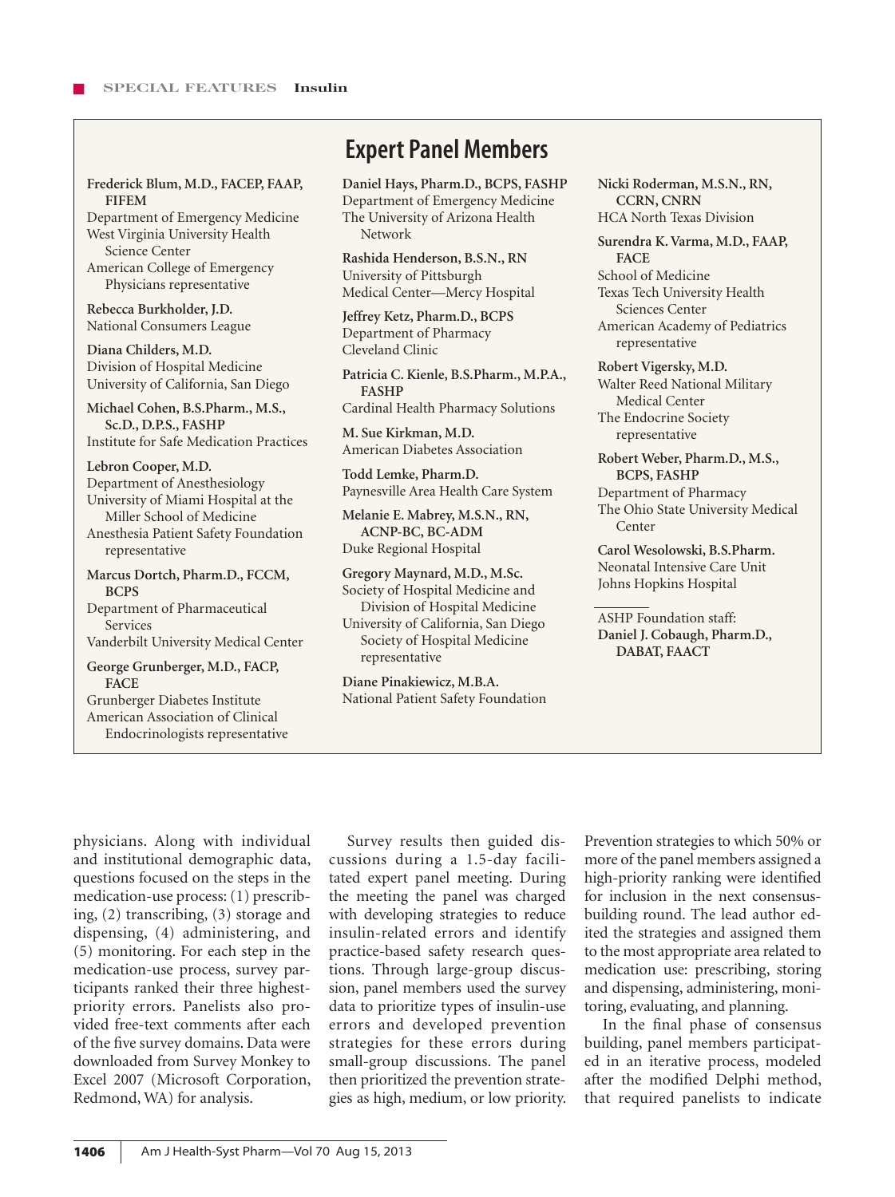### **Frederick Blum, M.D., FACEP, FAAP, FIFEM** Department of Emergency Medicine West Virginia University Health

Science Center American College of Emergency Physicians representative

**Rebecca Burkholder, J.D.** National Consumers League

**Diana Childers, M.D.** Division of Hospital Medicine University of California, San Diego

**Michael Cohen, B.S.Pharm., M.S., Sc.D., D.P.S., FASHP**

Institute for Safe Medication Practices

**Lebron Cooper, M.D.** Department of Anesthesiology University of Miami Hospital at the Miller School of Medicine

Anesthesia Patient Safety Foundation representative

**Marcus Dortch, Pharm.D., FCCM, BCPS**

Department of Pharmaceutical Services Vanderbilt University Medical Center

**George Grunberger, M.D., FACP, FACE**

Grunberger Diabetes Institute American Association of Clinical Endocrinologists representative

# **Expert Panel Members**

**Daniel Hays, Pharm.D., BCPS, FASHP** Department of Emergency Medicine The University of Arizona Health Network

**Rashida Henderson, B.S.N., RN** University of Pittsburgh Medical Center—Mercy Hospital

**Jeffrey Ketz, Pharm.D., BCPS** Department of Pharmacy Cleveland Clinic

**Patricia C. Kienle, B.S.Pharm., M.P.A., FASHP**

Cardinal Health Pharmacy Solutions

**M. Sue Kirkman, M.D.** American Diabetes Association

**Todd Lemke, Pharm.D.** Paynesville Area Health Care System

**Melanie E. Mabrey, M.S.N., RN, ACNP-BC, BC-ADM** Duke Regional Hospital

**Gregory Maynard, M.D., M.Sc.** Society of Hospital Medicine and Division of Hospital Medicine

University of California, San Diego Society of Hospital Medicine representative

**Diane Pinakiewicz, M.B.A.** National Patient Safety Foundation **Nicki Roderman, M.S.N., RN, CCRN, CNRN** HCA North Texas Division

**Surendra K. Varma, M.D., FAAP, FACE** School of Medicine Texas Tech University Health Sciences Center American Academy of Pediatrics representative

**Robert Vigersky, M.D.** Walter Reed National Military Medical Center The Endocrine Society representative

**Robert Weber, Pharm.D., M.S., BCPS, FASHP** Department of Pharmacy The Ohio State University Medical Center

**Carol Wesolowski, B.S.Pharm.** Neonatal Intensive Care Unit Johns Hopkins Hospital

ASHP Foundation staff: **Daniel J. Cobaugh, Pharm.D., DABAT, FAACT**

physicians. Along with individual and institutional demographic data, questions focused on the steps in the medication-use process: (1) prescribing, (2) transcribing, (3) storage and dispensing, (4) administering, and (5) monitoring. For each step in the medication-use process, survey participants ranked their three highestpriority errors. Panelists also provided free-text comments after each of the five survey domains. Data were downloaded from Survey Monkey to Excel 2007 (Microsoft Corporation, Redmond, WA) for analysis.

Survey results then guided discussions during a 1.5-day facilitated expert panel meeting. During the meeting the panel was charged with developing strategies to reduce insulin-related errors and identify practice-based safety research questions. Through large-group discussion, panel members used the survey data to prioritize types of insulin-use errors and developed prevention strategies for these errors during small-group discussions. The panel then prioritized the prevention strategies as high, medium, or low priority. Prevention strategies to which 50% or more of the panel members assigned a high-priority ranking were identified for inclusion in the next consensusbuilding round. The lead author edited the strategies and assigned them to the most appropriate area related to medication use: prescribing, storing and dispensing, administering, monitoring, evaluating, and planning.

In the final phase of consensus building, panel members participated in an iterative process, modeled after the modified Delphi method, that required panelists to indicate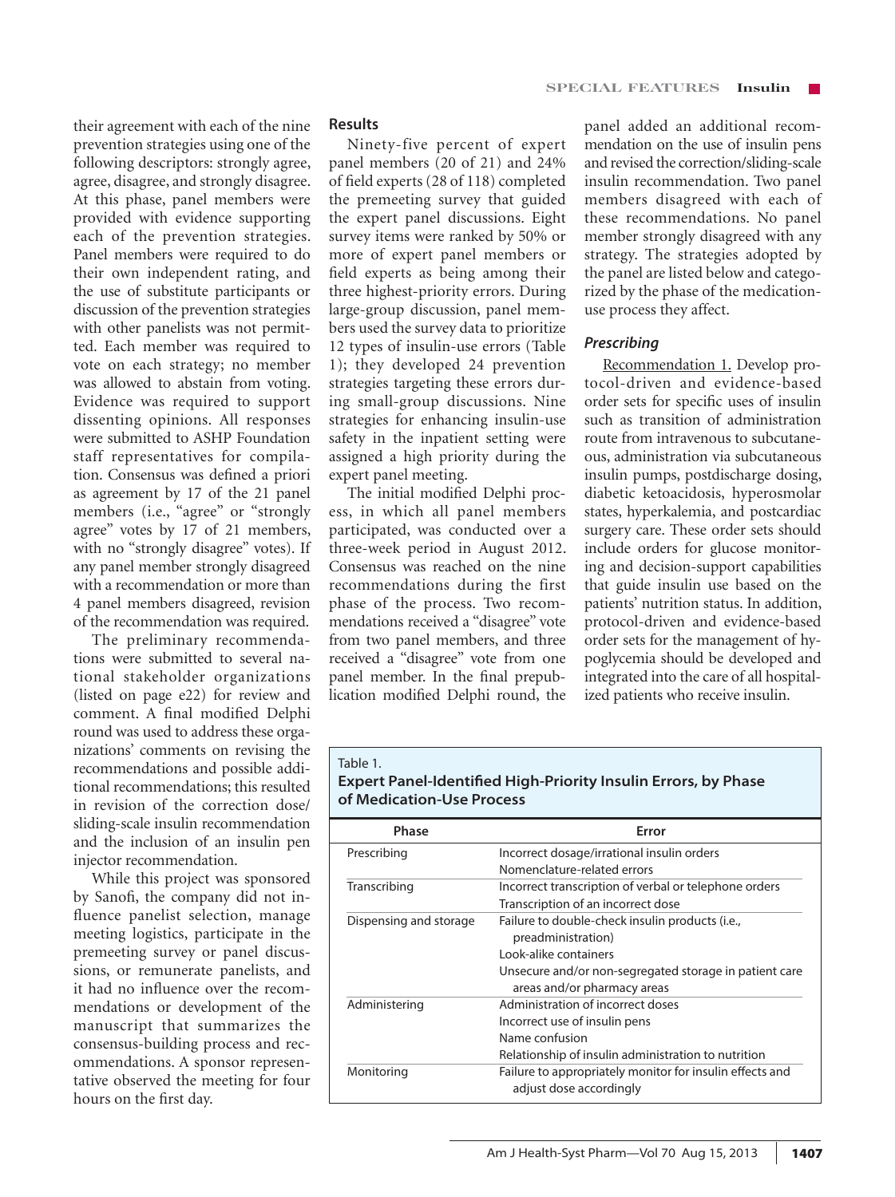their agreement with each of the nine prevention strategies using one of the following descriptors: strongly agree, agree, disagree, and strongly disagree. At this phase, panel members were provided with evidence supporting each of the prevention strategies. Panel members were required to do their own independent rating, and the use of substitute participants or discussion of the prevention strategies with other panelists was not permitted. Each member was required to vote on each strategy; no member was allowed to abstain from voting. Evidence was required to support dissenting opinions. All responses were submitted to ASHP Foundation staff representatives for compilation. Consensus was defined a priori as agreement by 17 of the 21 panel members (i.e., "agree" or "strongly agree" votes by 17 of 21 members, with no "strongly disagree" votes). If any panel member strongly disagreed with a recommendation or more than 4 panel members disagreed, revision of the recommendation was required.

The preliminary recommendations were submitted to several national stakeholder organizations (listed on page e22) for review and comment. A final modified Delphi round was used to address these organizations' comments on revising the recommendations and possible additional recommendations; this resulted in revision of the correction dose/ sliding-scale insulin recommendation and the inclusion of an insulin pen injector recommendation.

While this project was sponsored by Sanofi, the company did not influence panelist selection, manage meeting logistics, participate in the premeeting survey or panel discussions, or remunerate panelists, and it had no influence over the recommendations or development of the manuscript that summarizes the consensus-building process and recommendations. A sponsor representative observed the meeting for four hours on the first day.

#### **Results**

Ninety-five percent of expert panel members (20 of 21) and 24% of field experts (28 of 118) completed the premeeting survey that guided the expert panel discussions. Eight survey items were ranked by 50% or more of expert panel members or field experts as being among their three highest-priority errors. During large-group discussion, panel members used the survey data to prioritize 12 types of insulin-use errors (Table 1); they developed 24 prevention strategies targeting these errors during small-group discussions. Nine strategies for enhancing insulin-use safety in the inpatient setting were assigned a high priority during the expert panel meeting.

The initial modified Delphi process, in which all panel members participated, was conducted over a three-week period in August 2012. Consensus was reached on the nine recommendations during the first phase of the process. Two recommendations received a "disagree" vote from two panel members, and three received a "disagree" vote from one panel member. In the final prepublication modified Delphi round, the

panel added an additional recommendation on the use of insulin pens and revised the correction/sliding-scale insulin recommendation. Two panel members disagreed with each of these recommendations. No panel member strongly disagreed with any strategy. The strategies adopted by the panel are listed below and categorized by the phase of the medicationuse process they affect.

#### *Prescribing*

Recommendation 1. Develop protocol-driven and evidence-based order sets for specific uses of insulin such as transition of administration route from intravenous to subcutaneous, administration via subcutaneous insulin pumps, postdischarge dosing, diabetic ketoacidosis, hyperosmolar states, hyperkalemia, and postcardiac surgery care. These order sets should include orders for glucose monitoring and decision-support capabilities that guide insulin use based on the patients' nutrition status. In addition, protocol-driven and evidence-based order sets for the management of hypoglycemia should be developed and integrated into the care of all hospitalized patients who receive insulin.

#### Table 1.

#### **Expert Panel-Identified High-Priority Insulin Errors, by Phase of Medication-Use Process**

| Phase                  | Error                                                    |
|------------------------|----------------------------------------------------------|
| Prescribing            | Incorrect dosage/irrational insulin orders               |
|                        | Nomenclature-related errors                              |
| Transcribing           | Incorrect transcription of verbal or telephone orders    |
|                        | Transcription of an incorrect dose                       |
| Dispensing and storage | Failure to double-check insulin products (i.e.,          |
|                        | preadministration)                                       |
|                        | Look-alike containers                                    |
|                        | Unsecure and/or non-segregated storage in patient care   |
|                        | areas and/or pharmacy areas                              |
| Administering          | Administration of incorrect doses                        |
|                        | Incorrect use of insulin pens                            |
|                        | Name confusion                                           |
|                        | Relationship of insulin administration to nutrition      |
| Monitoring             | Failure to appropriately monitor for insulin effects and |
|                        | adjust dose accordingly                                  |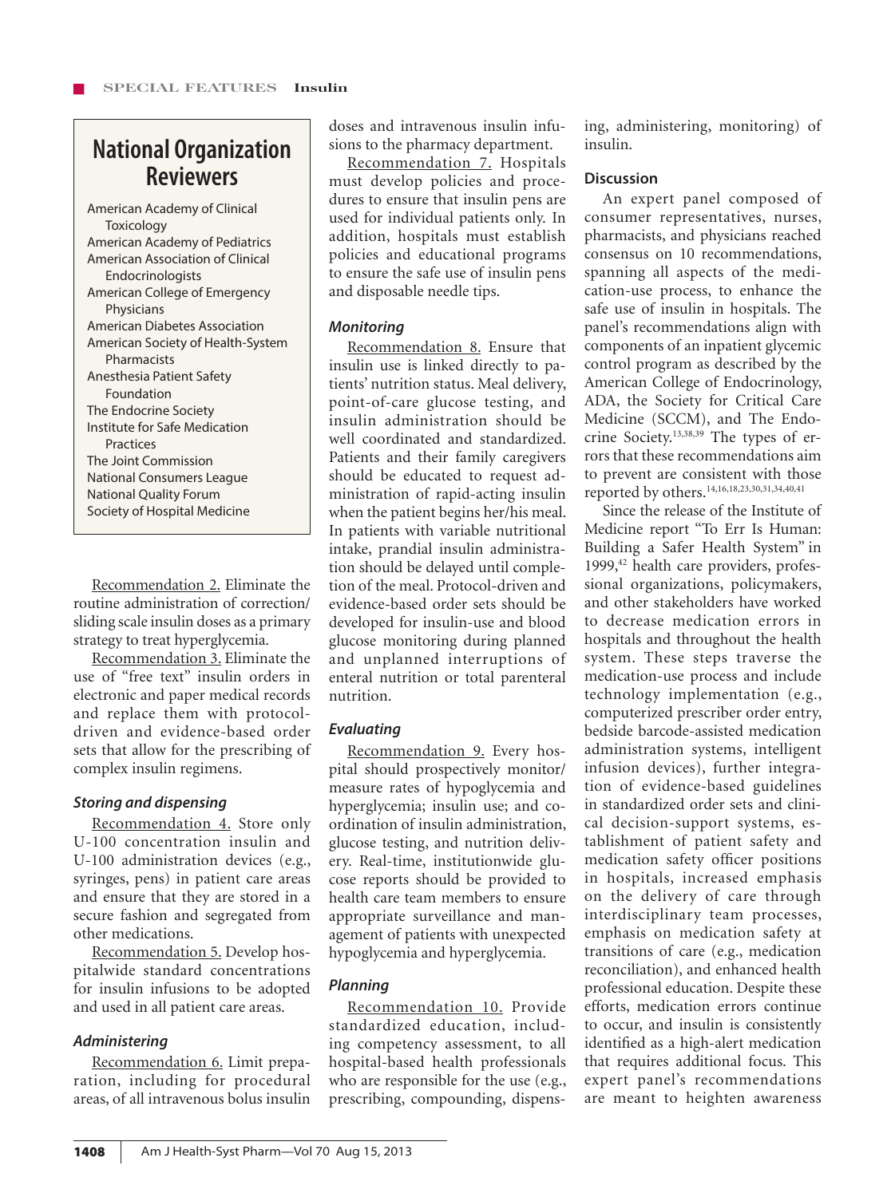# **National Organization Reviewers**

American Academy of Clinical Toxicology American Academy of Pediatrics American Association of Clinical Endocrinologists American College of Emergency Physicians American Diabetes Association American Society of Health-System Pharmacists Anesthesia Patient Safety Foundation The Endocrine Society Institute for Safe Medication Practices The Joint Commission National Consumers League National Quality Forum Society of Hospital Medicine

Recommendation 2. Eliminate the routine administration of correction/ sliding scale insulin doses as a primary strategy to treat hyperglycemia.

Recommendation 3. Eliminate the use of "free text" insulin orders in electronic and paper medical records and replace them with protocoldriven and evidence-based order sets that allow for the prescribing of complex insulin regimens.

### *Storing and dispensing*

Recommendation 4. Store only U-100 concentration insulin and U-100 administration devices (e.g., syringes, pens) in patient care areas and ensure that they are stored in a secure fashion and segregated from other medications.

Recommendation 5. Develop hospitalwide standard concentrations for insulin infusions to be adopted and used in all patient care areas.

### *Administering*

Recommendation 6. Limit preparation, including for procedural areas, of all intravenous bolus insulin doses and intravenous insulin infusions to the pharmacy department.

Recommendation 7. Hospitals must develop policies and procedures to ensure that insulin pens are used for individual patients only. In addition, hospitals must establish policies and educational programs to ensure the safe use of insulin pens and disposable needle tips.

### *Monitoring*

Recommendation 8. Ensure that insulin use is linked directly to patients' nutrition status. Meal delivery, point-of-care glucose testing, and insulin administration should be well coordinated and standardized. Patients and their family caregivers should be educated to request administration of rapid-acting insulin when the patient begins her/his meal. In patients with variable nutritional intake, prandial insulin administration should be delayed until completion of the meal. Protocol-driven and evidence-based order sets should be developed for insulin-use and blood glucose monitoring during planned and unplanned interruptions of enteral nutrition or total parenteral nutrition.

# *Evaluating*

Recommendation 9. Every hospital should prospectively monitor/ measure rates of hypoglycemia and hyperglycemia; insulin use; and coordination of insulin administration, glucose testing, and nutrition delivery. Real-time, institutionwide glucose reports should be provided to health care team members to ensure appropriate surveillance and management of patients with unexpected hypoglycemia and hyperglycemia.

# *Planning*

Recommendation 10. Provide standardized education, including competency assessment, to all hospital-based health professionals who are responsible for the use (e.g., prescribing, compounding, dispensing, administering, monitoring) of insulin.

### **Discussion**

An expert panel composed of consumer representatives, nurses, pharmacists, and physicians reached consensus on 10 recommendations, spanning all aspects of the medication-use process, to enhance the safe use of insulin in hospitals. The panel's recommendations align with components of an inpatient glycemic control program as described by the American College of Endocrinology, ADA, the Society for Critical Care Medicine (SCCM), and The Endocrine Society.13,38,39 The types of errors that these recommendations aim to prevent are consistent with those reported by others.14,16,18,23,30,31,34,40,41

Since the release of the Institute of Medicine report "To Err Is Human: Building a Safer Health System" in 1999,<sup>42</sup> health care providers, professional organizations, policymakers, and other stakeholders have worked to decrease medication errors in hospitals and throughout the health system. These steps traverse the medication-use process and include technology implementation (e.g., computerized prescriber order entry, bedside barcode-assisted medication administration systems, intelligent infusion devices), further integration of evidence-based guidelines in standardized order sets and clinical decision-support systems, establishment of patient safety and medication safety officer positions in hospitals, increased emphasis on the delivery of care through interdisciplinary team processes, emphasis on medication safety at transitions of care (e.g., medication reconciliation), and enhanced health professional education. Despite these efforts, medication errors continue to occur, and insulin is consistently identified as a high-alert medication that requires additional focus. This expert panel's recommendations are meant to heighten awareness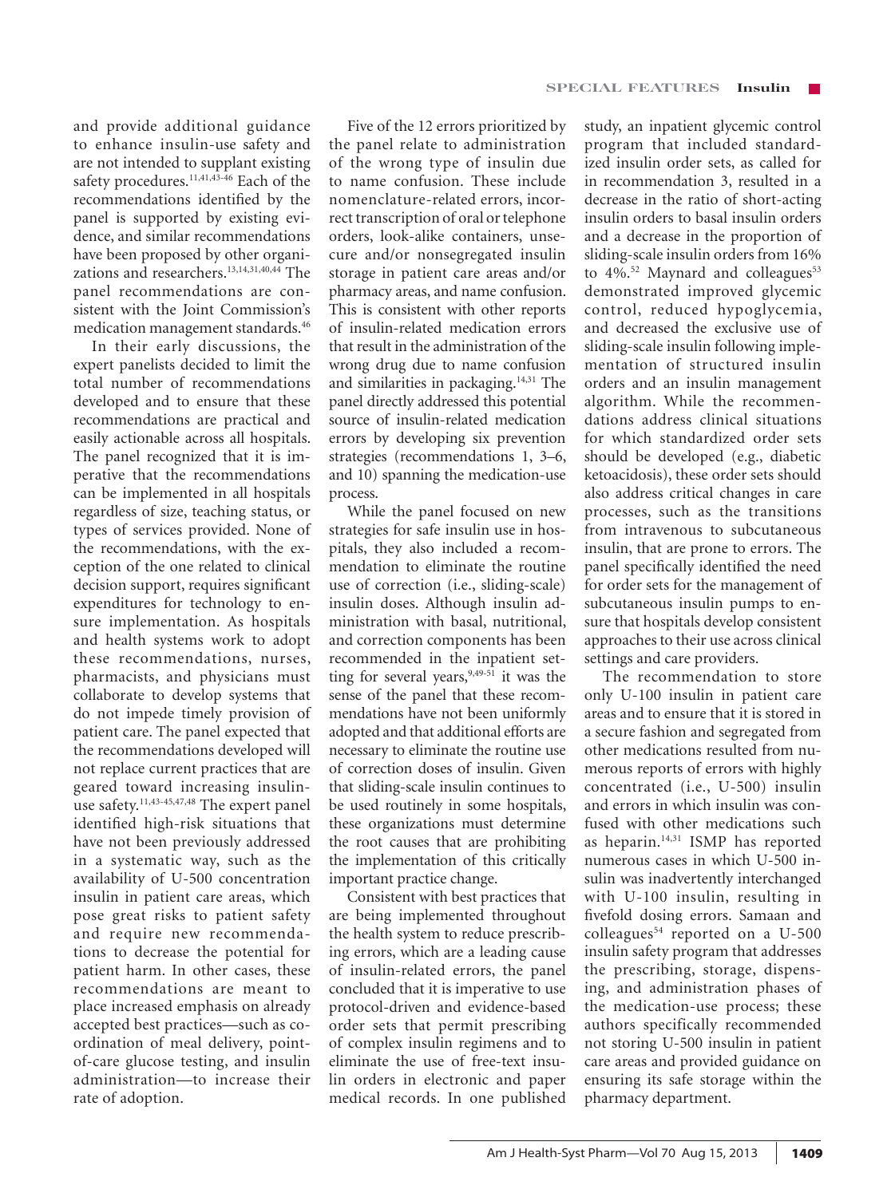and provide additional guidance to enhance insulin-use safety and are not intended to supplant existing safety procedures.<sup>11,41,43-46</sup> Each of the recommendations identified by the panel is supported by existing evidence, and similar recommendations have been proposed by other organizations and researchers.13,14,31,40,44 The panel recommendations are consistent with the Joint Commission's medication management standards.46

In their early discussions, the expert panelists decided to limit the total number of recommendations developed and to ensure that these recommendations are practical and easily actionable across all hospitals. The panel recognized that it is imperative that the recommendations can be implemented in all hospitals regardless of size, teaching status, or types of services provided. None of the recommendations, with the exception of the one related to clinical decision support, requires significant expenditures for technology to ensure implementation. As hospitals and health systems work to adopt these recommendations, nurses, pharmacists, and physicians must collaborate to develop systems that do not impede timely provision of patient care. The panel expected that the recommendations developed will not replace current practices that are geared toward increasing insulinuse safety.<sup>11,43-45,47,48</sup> The expert panel identified high-risk situations that have not been previously addressed in a systematic way, such as the availability of U-500 concentration insulin in patient care areas, which pose great risks to patient safety and require new recommendations to decrease the potential for patient harm. In other cases, these recommendations are meant to place increased emphasis on already accepted best practices—such as coordination of meal delivery, pointof-care glucose testing, and insulin administration—to increase their rate of adoption.

Five of the 12 errors prioritized by the panel relate to administration of the wrong type of insulin due to name confusion. These include nomenclature-related errors, incorrect transcription of oral or telephone orders, look-alike containers, unsecure and/or nonsegregated insulin storage in patient care areas and/or pharmacy areas, and name confusion. This is consistent with other reports of insulin-related medication errors that result in the administration of the wrong drug due to name confusion and similarities in packaging.14,31 The panel directly addressed this potential source of insulin-related medication errors by developing six prevention strategies (recommendations 1, 3–6, and 10) spanning the medication-use process.

While the panel focused on new strategies for safe insulin use in hospitals, they also included a recommendation to eliminate the routine use of correction (i.e., sliding-scale) insulin doses. Although insulin administration with basal, nutritional, and correction components has been recommended in the inpatient setting for several years,  $9,49-51$  it was the sense of the panel that these recommendations have not been uniformly adopted and that additional efforts are necessary to eliminate the routine use of correction doses of insulin. Given that sliding-scale insulin continues to be used routinely in some hospitals, these organizations must determine the root causes that are prohibiting the implementation of this critically important practice change.

Consistent with best practices that are being implemented throughout the health system to reduce prescribing errors, which are a leading cause of insulin-related errors, the panel concluded that it is imperative to use protocol-driven and evidence-based order sets that permit prescribing of complex insulin regimens and to eliminate the use of free-text insulin orders in electronic and paper medical records. In one published

study, an inpatient glycemic control program that included standardized insulin order sets, as called for in recommendation 3, resulted in a decrease in the ratio of short-acting insulin orders to basal insulin orders and a decrease in the proportion of sliding-scale insulin orders from 16% to 4%.<sup>52</sup> Maynard and colleagues<sup>53</sup> demonstrated improved glycemic control, reduced hypoglycemia, and decreased the exclusive use of sliding-scale insulin following implementation of structured insulin orders and an insulin management algorithm. While the recommendations address clinical situations for which standardized order sets should be developed (e.g., diabetic ketoacidosis), these order sets should also address critical changes in care processes, such as the transitions from intravenous to subcutaneous insulin, that are prone to errors. The panel specifically identified the need for order sets for the management of subcutaneous insulin pumps to ensure that hospitals develop consistent approaches to their use across clinical settings and care providers.

The recommendation to store only U-100 insulin in patient care areas and to ensure that it is stored in a secure fashion and segregated from other medications resulted from numerous reports of errors with highly concentrated (i.e., U-500) insulin and errors in which insulin was confused with other medications such as heparin.<sup>14,31</sup> ISMP has reported numerous cases in which U-500 insulin was inadvertently interchanged with U-100 insulin, resulting in fivefold dosing errors. Samaan and colleagues<sup>54</sup> reported on a U-500 insulin safety program that addresses the prescribing, storage, dispensing, and administration phases of the medication-use process; these authors specifically recommended not storing U-500 insulin in patient care areas and provided guidance on ensuring its safe storage within the pharmacy department.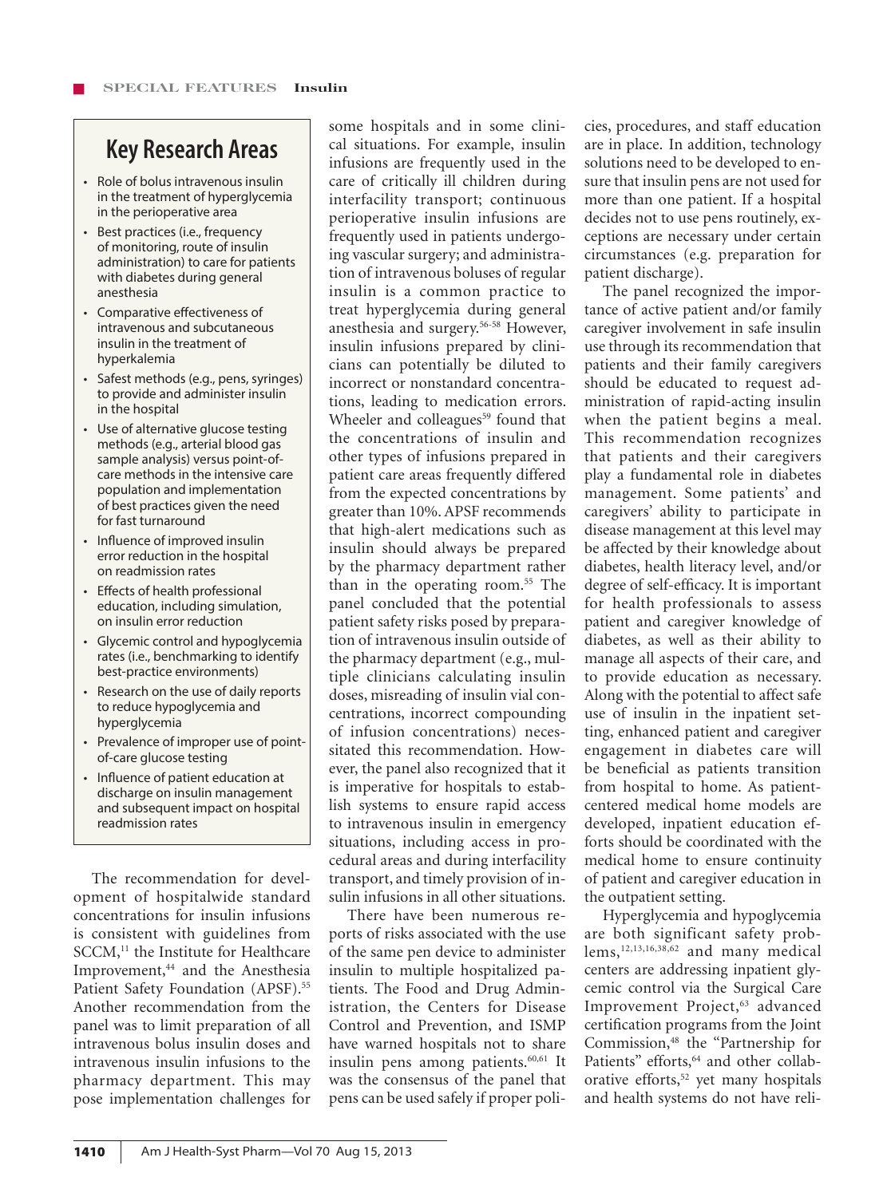# **Key Research Areas**

- Role of bolus intravenous insulin in the treatment of hyperglycemia in the perioperative area
- Best practices (i.e., frequency of monitoring, route of insulin administration) to care for patients with diabetes during general anesthesia
- Comparative effectiveness of intravenous and subcutaneous insulin in the treatment of hyperkalemia
- Safest methods (e.g., pens, syringes) to provide and administer insulin in the hospital
- Use of alternative glucose testing methods (e.g., arterial blood gas sample analysis) versus point-ofcare methods in the intensive care population and implementation of best practices given the need for fast turnaround
- Influence of improved insulin error reduction in the hospital on readmission rates
- Effects of health professional education, including simulation, on insulin error reduction
- Glycemic control and hypoglycemia rates (i.e., benchmarking to identify best-practice environments)
- Research on the use of daily reports to reduce hypoglycemia and hyperglycemia
- Prevalence of improper use of pointof-care glucose testing
- Influence of patient education at discharge on insulin management and subsequent impact on hospital readmission rates

The recommendation for development of hospitalwide standard concentrations for insulin infusions is consistent with guidelines from  $SCCM<sub>11</sub>$  the Institute for Healthcare Improvement,<sup>44</sup> and the Anesthesia Patient Safety Foundation (APSF).<sup>55</sup> Another recommendation from the panel was to limit preparation of all intravenous bolus insulin doses and intravenous insulin infusions to the pharmacy department. This may pose implementation challenges for

some hospitals and in some clinical situations. For example, insulin infusions are frequently used in the care of critically ill children during interfacility transport; continuous perioperative insulin infusions are frequently used in patients undergoing vascular surgery; and administration of intravenous boluses of regular insulin is a common practice to treat hyperglycemia during general anesthesia and surgery.56-58 However, insulin infusions prepared by clinicians can potentially be diluted to incorrect or nonstandard concentrations, leading to medication errors. Wheeler and colleagues<sup>59</sup> found that the concentrations of insulin and other types of infusions prepared in patient care areas frequently differed from the expected concentrations by greater than 10%. APSF recommends that high-alert medications such as insulin should always be prepared by the pharmacy department rather than in the operating room.55 The panel concluded that the potential patient safety risks posed by preparation of intravenous insulin outside of the pharmacy department (e.g., multiple clinicians calculating insulin doses, misreading of insulin vial concentrations, incorrect compounding of infusion concentrations) necessitated this recommendation. However, the panel also recognized that it is imperative for hospitals to establish systems to ensure rapid access to intravenous insulin in emergency situations, including access in procedural areas and during interfacility transport, and timely provision of insulin infusions in all other situations.

There have been numerous reports of risks associated with the use of the same pen device to administer insulin to multiple hospitalized patients. The Food and Drug Administration, the Centers for Disease Control and Prevention, and ISMP have warned hospitals not to share insulin pens among patients.<sup>60,61</sup> It was the consensus of the panel that pens can be used safely if proper policies, procedures, and staff education are in place. In addition, technology solutions need to be developed to ensure that insulin pens are not used for more than one patient. If a hospital decides not to use pens routinely, exceptions are necessary under certain circumstances (e.g. preparation for patient discharge).

The panel recognized the importance of active patient and/or family caregiver involvement in safe insulin use through its recommendation that patients and their family caregivers should be educated to request administration of rapid-acting insulin when the patient begins a meal. This recommendation recognizes that patients and their caregivers play a fundamental role in diabetes management. Some patients' and caregivers' ability to participate in disease management at this level may be affected by their knowledge about diabetes, health literacy level, and/or degree of self-efficacy. It is important for health professionals to assess patient and caregiver knowledge of diabetes, as well as their ability to manage all aspects of their care, and to provide education as necessary. Along with the potential to affect safe use of insulin in the inpatient setting, enhanced patient and caregiver engagement in diabetes care will be beneficial as patients transition from hospital to home. As patientcentered medical home models are developed, inpatient education efforts should be coordinated with the medical home to ensure continuity of patient and caregiver education in the outpatient setting.

Hyperglycemia and hypoglycemia are both significant safety problems,12,13,16,38,62 and many medical centers are addressing inpatient glycemic control via the Surgical Care Improvement Project,<sup>63</sup> advanced certification programs from the Joint Commission,<sup>48</sup> the "Partnership for Patients" efforts,<sup>64</sup> and other collaborative efforts,<sup>52</sup> yet many hospitals and health systems do not have reli-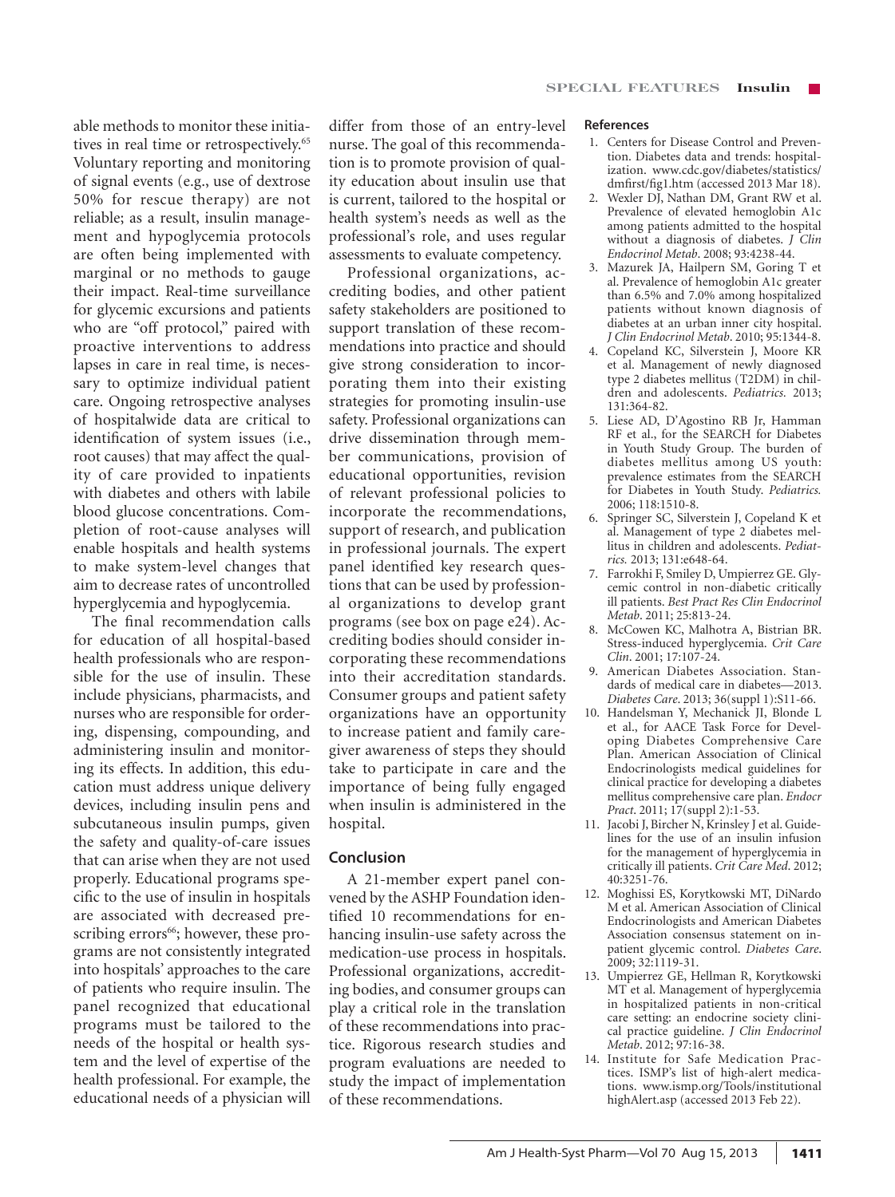able methods to monitor these initiatives in real time or retrospectively.<sup>65</sup> Voluntary reporting and monitoring of signal events (e.g., use of dextrose 50% for rescue therapy) are not reliable; as a result, insulin management and hypoglycemia protocols are often being implemented with marginal or no methods to gauge their impact. Real-time surveillance for glycemic excursions and patients who are "off protocol," paired with proactive interventions to address lapses in care in real time, is necessary to optimize individual patient care. Ongoing retrospective analyses of hospitalwide data are critical to identification of system issues (i.e., root causes) that may affect the quality of care provided to inpatients with diabetes and others with labile blood glucose concentrations. Completion of root-cause analyses will enable hospitals and health systems to make system-level changes that aim to decrease rates of uncontrolled hyperglycemia and hypoglycemia.

The final recommendation calls for education of all hospital-based health professionals who are responsible for the use of insulin. These include physicians, pharmacists, and nurses who are responsible for ordering, dispensing, compounding, and administering insulin and monitoring its effects. In addition, this education must address unique delivery devices, including insulin pens and subcutaneous insulin pumps, given the safety and quality-of-care issues that can arise when they are not used properly. Educational programs specific to the use of insulin in hospitals are associated with decreased prescribing errors<sup>66</sup>; however, these programs are not consistently integrated into hospitals' approaches to the care of patients who require insulin. The panel recognized that educational programs must be tailored to the needs of the hospital or health system and the level of expertise of the health professional. For example, the educational needs of a physician will differ from those of an entry-level nurse. The goal of this recommendation is to promote provision of quality education about insulin use that is current, tailored to the hospital or health system's needs as well as the professional's role, and uses regular assessments to evaluate competency.

Professional organizations, accrediting bodies, and other patient safety stakeholders are positioned to support translation of these recommendations into practice and should give strong consideration to incorporating them into their existing strategies for promoting insulin-use safety. Professional organizations can drive dissemination through member communications, provision of educational opportunities, revision of relevant professional policies to incorporate the recommendations, support of research, and publication in professional journals. The expert panel identified key research questions that can be used by professional organizations to develop grant programs (see box on page e24). Accrediting bodies should consider incorporating these recommendations into their accreditation standards. Consumer groups and patient safety organizations have an opportunity to increase patient and family caregiver awareness of steps they should take to participate in care and the importance of being fully engaged when insulin is administered in the hospital.

#### **Conclusion**

A 21-member expert panel convened by the ASHP Foundation identified 10 recommendations for enhancing insulin-use safety across the medication-use process in hospitals. Professional organizations, accrediting bodies, and consumer groups can play a critical role in the translation of these recommendations into practice. Rigorous research studies and program evaluations are needed to study the impact of implementation of these recommendations.

#### **References**

- 1. Centers for Disease Control and Prevention. Diabetes data and trends: hospitalization. www.cdc.gov/diabetes/statistics/ dmfirst/fig1.htm (accessed 2013 Mar 18).
- 2. Wexler DJ, Nathan DM, Grant RW et al. Prevalence of elevated hemoglobin A1c among patients admitted to the hospital without a diagnosis of diabetes. *J Clin Endocrinol Metab*. 2008; 93:4238-44.
- 3. Mazurek JA, Hailpern SM, Goring T et al. Prevalence of hemoglobin A1c greater than 6.5% and 7.0% among hospitalized patients without known diagnosis of diabetes at an urban inner city hospital. *J Clin Endocrinol Metab*. 2010; 95:1344-8.
- 4. Copeland KC, Silverstein J, Moore KR et al. Management of newly diagnosed type 2 diabetes mellitus (T2DM) in children and adolescents. *Pediatrics.* 2013; 131:364-82.
- 5. Liese AD, D'Agostino RB Jr, Hamman RF et al., for the SEARCH for Diabetes in Youth Study Group. The burden of diabetes mellitus among US youth: prevalence estimates from the SEARCH for Diabetes in Youth Study. *Pediatrics.* 2006; 118:1510-8.
- 6. Springer SC, Silverstein J, Copeland K et al. Management of type 2 diabetes mellitus in children and adolescents. *Pediatrics.* 2013; 131:e648-64.
- 7. Farrokhi F, Smiley D, Umpierrez GE. Glycemic control in non-diabetic critically ill patients. *Best Pract Res Clin Endocrinol Metab*. 2011; 25:813-24.
- 8. McCowen KC, Malhotra A, Bistrian BR. Stress-induced hyperglycemia. *Crit Care Clin*. 2001; 17:107-24.
- 9. American Diabetes Association. Standards of medical care in diabetes—2013. *Diabetes Care*. 2013; 36(suppl 1):S11-66.
- 10. Handelsman Y, Mechanick JI, Blonde L et al., for AACE Task Force for Developing Diabetes Comprehensive Care Plan. American Association of Clinical Endocrinologists medical guidelines for clinical practice for developing a diabetes mellitus comprehensive care plan. *Endocr Pract*. 2011; 17(suppl 2):1-53.
- 11. Jacobi J, Bircher N, Krinsley J et al. Guidelines for the use of an insulin infusion for the management of hyperglycemia in critically ill patients. *Crit Care Med*. 2012; 40:3251-76.
- 12. Moghissi ES, Korytkowski MT, DiNardo M et al. American Association of Clinical Endocrinologists and American Diabetes Association consensus statement on inpatient glycemic control. *Diabetes Care*. 2009; 32:1119-31.
- 13. Umpierrez GE, Hellman R, Korytkowski MT et al. Management of hyperglycemia in hospitalized patients in non-critical care setting: an endocrine society clinical practice guideline. *J Clin Endocrinol Metab*. 2012; 97:16-38.
- 14. Institute for Safe Medication Practices. ISMP's list of high-alert medications. www.ismp.org/Tools/institutional highAlert.asp (accessed 2013 Feb 22).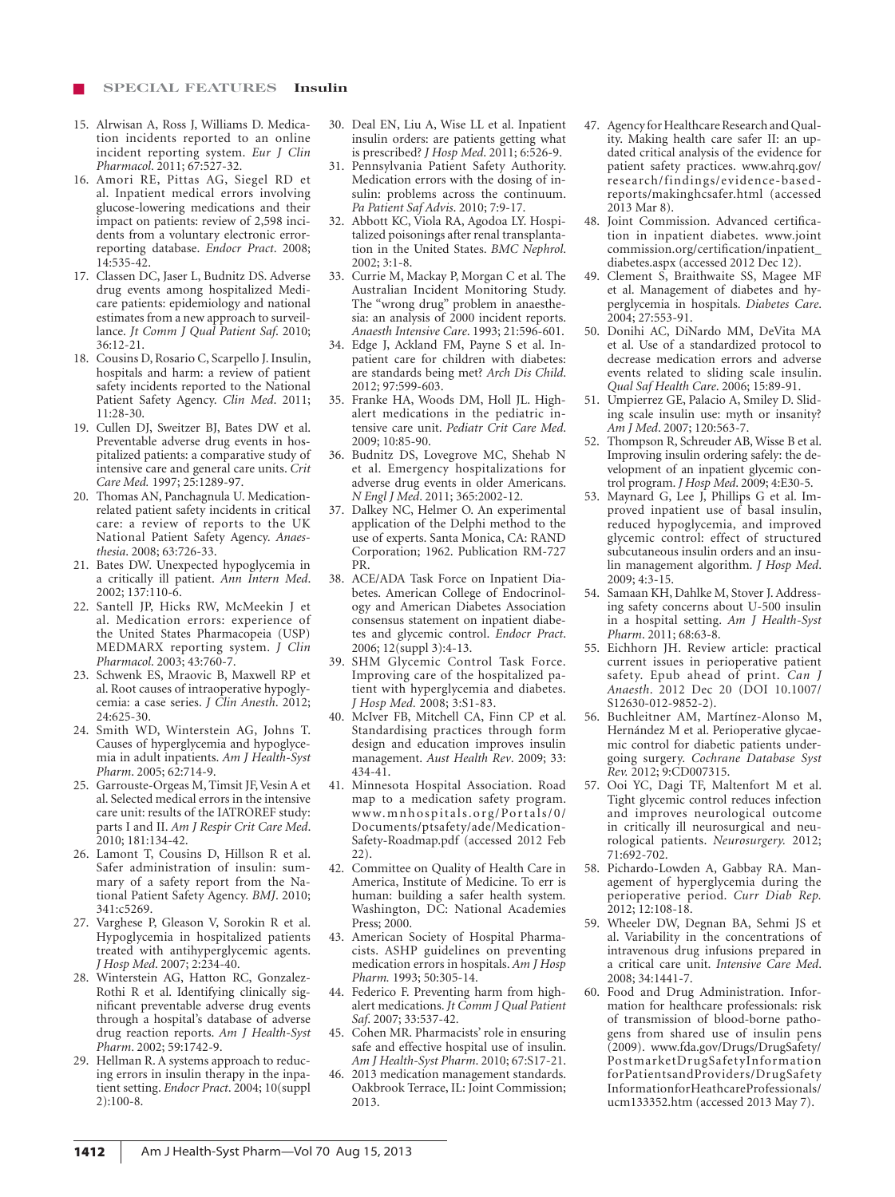- 15. Alrwisan A, Ross J, Williams D. Medication incidents reported to an online incident reporting system. *Eur J Clin Pharmacol*. 2011; 67:527-32.
- 16. Amori RE, Pittas AG, Siegel RD et al. Inpatient medical errors involving glucose-lowering medications and their impact on patients: review of 2,598 incidents from a voluntary electronic errorreporting database. *Endocr Pract*. 2008; 14:535-42.
- 17. Classen DC, Jaser L, Budnitz DS. Adverse drug events among hospitalized Medicare patients: epidemiology and national estimates from a new approach to surveillance. *Jt Comm J Qual Patient Saf*. 2010; 36:12-21.
- 18. Cousins D, Rosario C, Scarpello J. Insulin, hospitals and harm: a review of patient safety incidents reported to the National Patient Safety Agency. *Clin Med*. 2011; 11:28-30.
- 19. Cullen DJ, Sweitzer BJ, Bates DW et al. Preventable adverse drug events in hospitalized patients: a comparative study of intensive care and general care units. *Crit Care Med.* 1997; 25:1289-97.
- 20. Thomas AN, Panchagnula U. Medicationrelated patient safety incidents in critical care: a review of reports to the UK National Patient Safety Agency. *Anaesthesia*. 2008; 63:726-33.
- 21. Bates DW. Unexpected hypoglycemia in a critically ill patient. *Ann Intern Med*. 2002; 137:110-6.
- 22. Santell JP, Hicks RW, McMeekin J et al. Medication errors: experience of the United States Pharmacopeia (USP) MEDMARX reporting system. *J Clin Pharmacol*. 2003; 43:760-7.
- 23. Schwenk ES, Mraovic B, Maxwell RP et al. Root causes of intraoperative hypoglycemia: a case series. *J Clin Anesth*. 2012; 24:625-30.
- 24. Smith WD, Winterstein AG, Johns T. Causes of hyperglycemia and hypoglycemia in adult inpatients. *Am J Health-Syst Pharm*. 2005; 62:714-9.
- 25. Garrouste-Orgeas M, Timsit JF, Vesin A et al. Selected medical errors in the intensive care unit: results of the IATROREF study: parts I and II. *Am J Respir Crit Care Med*. 2010; 181:134-42.
- 26. Lamont T, Cousins D, Hillson R et al. Safer administration of insulin: summary of a safety report from the National Patient Safety Agency. *BMJ*. 2010; 341:c5269.
- 27. Varghese P, Gleason V, Sorokin R et al. Hypoglycemia in hospitalized patients treated with antihyperglycemic agents. *J Hosp Med*. 2007; 2:234-40.
- 28. Winterstein AG, Hatton RC, Gonzalez-Rothi R et al. Identifying clinically significant preventable adverse drug events through a hospital's database of adverse drug reaction reports. *Am J Health-Syst Pharm*. 2002; 59:1742-9.
- 29. Hellman R. A systems approach to reducing errors in insulin therapy in the inpatient setting. *Endocr Pract*. 2004; 10(suppl 2):100-8.
- 30. Deal EN, Liu A, Wise LL et al. Inpatient insulin orders: are patients getting what is prescribed? *J Hosp Med*. 2011; 6:526-9.
- 31. Pennsylvania Patient Safety Authority. Medication errors with the dosing of insulin: problems across the continuum. *Pa Patient Saf Advis*. 2010; 7:9-17.
- 32. Abbott KC, Viola RA, Agodoa LY. Hospitalized poisonings after renal transplantation in the United States. *BMC Nephrol*. 2002; 3:1-8.
- 33. Currie M, Mackay P, Morgan C et al. The Australian Incident Monitoring Study. The "wrong drug" problem in anaesthesia: an analysis of 2000 incident reports. *Anaesth Intensive Care*. 1993; 21:596-601.
- 34. Edge J, Ackland FM, Payne S et al. Inpatient care for children with diabetes: are standards being met? *Arch Dis Child*. 2012; 97:599-603.
- 35. Franke HA, Woods DM, Holl JL. Highalert medications in the pediatric intensive care unit. *Pediatr Crit Care Med*. 2009; 10:85-90.
- 36. Budnitz DS, Lovegrove MC, Shehab N et al. Emergency hospitalizations for adverse drug events in older Americans. *N Engl J Med*. 2011; 365:2002-12.
- 37. Dalkey NC, Helmer O. An experimental application of the Delphi method to the use of experts. Santa Monica, CA: RAND Corporation; 1962. Publication RM-727 PR.
- 38. ACE/ADA Task Force on Inpatient Diabetes. American College of Endocrinology and American Diabetes Association consensus statement on inpatient diabetes and glycemic control. *Endocr Pract*. 2006; 12(suppl 3):4-13.
- 39. SHM Glycemic Control Task Force. Improving care of the hospitalized patient with hyperglycemia and diabetes. *J Hosp Med.* 2008; 3:S1-83.
- 40. McIver FB, Mitchell CA, Finn CP et al. Standardising practices through form design and education improves insulin management. *Aust Health Rev*. 2009; 33: 434-41.
- 41. Minnesota Hospital Association. Road map to a medication safety program. www.mnhospitals.org/Portals/0/ Documents/ptsafety/ade/Medication-Safety-Roadmap.pdf (accessed 2012 Feb 22).
- 42. Committee on Quality of Health Care in America, Institute of Medicine. To err is human: building a safer health system*.*  Washington, DC: National Academies Press; 2000.
- 43. American Society of Hospital Pharmacists. ASHP guidelines on preventing medication errors in hospitals. *Am J Hosp Pharm.* 1993; 50:305-14.
- 44. Federico F. Preventing harm from highalert medications. *Jt Comm J Qual Patient Saf*. 2007; 33:537-42.
- 45. Cohen MR. Pharmacists' role in ensuring safe and effective hospital use of insulin. *Am J Health-Syst Pharm*. 2010; 67:S17-21.
- 46. 2013 medication management standards. Oakbrook Terrace, IL: Joint Commission; 2013.
- 47. Agency for Healthcare Research and Quality. Making health care safer II: an updated critical analysis of the evidence for patient safety practices. www.ahrq.gov/ research/findings/evidence-basedreports/makinghcsafer.html (accessed 2013 Mar 8).
- 48. Joint Commission. Advanced certification in inpatient diabetes. www.joint commission.org/certification/inpatient\_ diabetes.aspx (accessed 2012 Dec 12).
- 49. Clement S, Braithwaite SS, Magee MF et al. Management of diabetes and hyperglycemia in hospitals. *Diabetes Care*. 2004; 27:553-91.
- 50. Donihi AC, DiNardo MM, DeVita MA et al. Use of a standardized protocol to decrease medication errors and adverse events related to sliding scale insulin. *Qual Saf Health Care*. 2006; 15:89-91.
- 51. Umpierrez GE, Palacio A, Smiley D. Sliding scale insulin use: myth or insanity? *Am J Med*. 2007; 120:563-7.
- 52. Thompson R, Schreuder AB, Wisse B et al. Improving insulin ordering safely: the development of an inpatient glycemic control program. *J Hosp Med*. 2009; 4:E30-5.
- 53. Maynard G, Lee J, Phillips G et al. Improved inpatient use of basal insulin, reduced hypoglycemia, and improved glycemic control: effect of structured subcutaneous insulin orders and an insulin management algorithm. *J Hosp Med*. 2009; 4:3-15.
- 54. Samaan KH, Dahlke M, Stover J. Addressing safety concerns about U-500 insulin in a hospital setting. *Am J Health-Syst Pharm*. 2011; 68:63-8.
- 55. Eichhorn JH. Review article: practical current issues in perioperative patient safety. Epub ahead of print. *Can J Anaesth*. 2012 Dec 20 (DOI 10.1007/ S12630-012-9852-2).
- 56. Buchleitner AM, Martínez-Alonso M, Hernández M et al. Perioperative glycaemic control for diabetic patients undergoing surgery. *Cochrane Database Syst Rev.* 2012; 9:CD007315.
- 57. Ooi YC, Dagi TF, Maltenfort M et al. Tight glycemic control reduces infection and improves neurological outcome in critically ill neurosurgical and neurological patients. *Neurosurgery.* 2012; 71:692-702.
- 58. Pichardo-Lowden A, Gabbay RA. Management of hyperglycemia during the perioperative period. *Curr Diab Rep.*  2012; 12:108-18.
- 59. Wheeler DW, Degnan BA, Sehmi JS et al. Variability in the concentrations of intravenous drug infusions prepared in a critical care unit. *Intensive Care Med*. 2008; 34:1441-7.
- 60. Food and Drug Administration. Information for healthcare professionals: risk of transmission of blood-borne pathogens from shared use of insulin pens (2009). www.fda.gov/Drugs/DrugSafety/ PostmarketDrugSafetyInformation forPatientsandProviders/DrugSafety InformationforHeathcareProfessionals/ ucm133352.htm (accessed 2013 May 7).